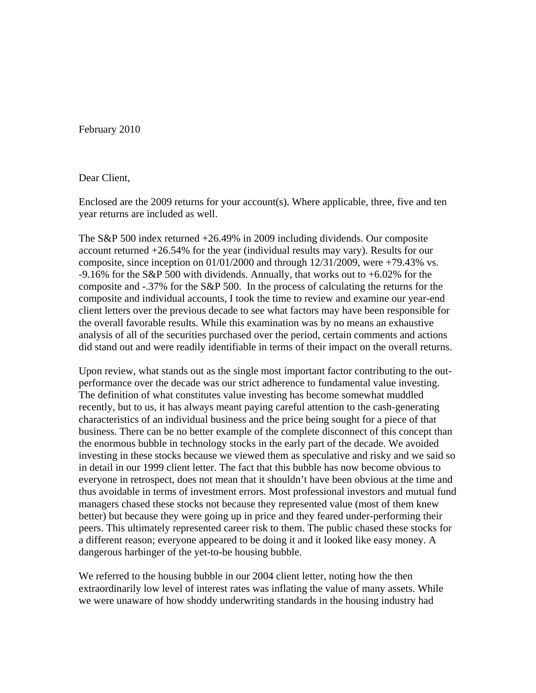February 2010

## Dear Client,

Enclosed are the 2009 returns for your account(s). Where applicable, three, five and ten year returns are included as well.

The S&P 500 index returned +26.49% in 2009 including dividends. Our composite account returned +26.54% for the year (individual results may vary). Results for our composite, since inception on 01/01/2000 and through 12/31/2009, were +79.43% vs. -9.16% for the S&P 500 with dividends. Annually, that works out to  $+6.02\%$  for the composite and -.37% for the S&P 500. In the process of calculating the returns for the composite and individual accounts, I took the time to review and examine our year-end client letters over the previous decade to see what factors may have been responsible for the overall favorable results. While this examination was by no means an exhaustive analysis of all of the securities purchased over the period, certain comments and actions did stand out and were readily identifiable in terms of their impact on the overall returns.

Upon review, what stands out as the single most important factor contributing to the outperformance over the decade was our strict adherence to fundamental value investing. The definition of what constitutes value investing has become somewhat muddled recently, but to us, it has always meant paying careful attention to the cash-generating characteristics of an individual business and the price being sought for a piece of that business. There can be no better example of the complete disconnect of this concept than the enormous bubble in technology stocks in the early part of the decade. We avoided investing in these stocks because we viewed them as speculative and risky and we said so in detail in our 1999 client letter. The fact that this bubble has now become obvious to everyone in retrospect, does not mean that it shouldn't have been obvious at the time and thus avoidable in terms of investment errors. Most professional investors and mutual fund managers chased these stocks not because they represented value (most of them knew better) but because they were going up in price and they feared under-performing their peers. This ultimately represented career risk to them. The public chased these stocks for a different reason; everyone appeared to be doing it and it looked like easy money. A dangerous harbinger of the yet-to-be housing bubble.

We referred to the housing bubble in our 2004 client letter, noting how the then extraordinarily low level of interest rates was inflating the value of many assets. While we were unaware of how shoddy underwriting standards in the housing industry had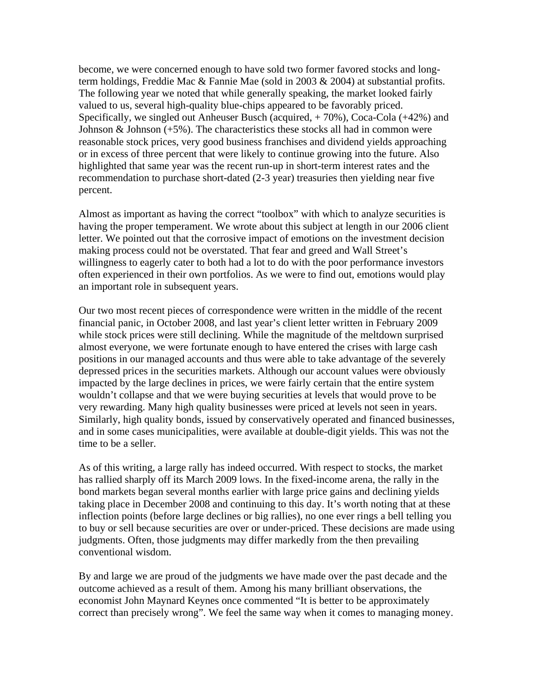become, we were concerned enough to have sold two former favored stocks and longterm holdings, Freddie Mac & Fannie Mae (sold in 2003 & 2004) at substantial profits. The following year we noted that while generally speaking, the market looked fairly valued to us, several high-quality blue-chips appeared to be favorably priced. Specifically, we singled out Anheuser Busch (acquired, + 70%), Coca-Cola (+42%) and Johnson  $&$  Johnson  $(+5%)$ . The characteristics these stocks all had in common were reasonable stock prices, very good business franchises and dividend yields approaching or in excess of three percent that were likely to continue growing into the future. Also highlighted that same year was the recent run-up in short-term interest rates and the recommendation to purchase short-dated (2-3 year) treasuries then yielding near five percent.

Almost as important as having the correct "toolbox" with which to analyze securities is having the proper temperament. We wrote about this subject at length in our 2006 client letter. We pointed out that the corrosive impact of emotions on the investment decision making process could not be overstated. That fear and greed and Wall Street's willingness to eagerly cater to both had a lot to do with the poor performance investors often experienced in their own portfolios. As we were to find out, emotions would play an important role in subsequent years.

Our two most recent pieces of correspondence were written in the middle of the recent financial panic, in October 2008, and last year's client letter written in February 2009 while stock prices were still declining. While the magnitude of the meltdown surprised almost everyone, we were fortunate enough to have entered the crises with large cash positions in our managed accounts and thus were able to take advantage of the severely depressed prices in the securities markets. Although our account values were obviously impacted by the large declines in prices, we were fairly certain that the entire system wouldn't collapse and that we were buying securities at levels that would prove to be very rewarding. Many high quality businesses were priced at levels not seen in years. Similarly, high quality bonds, issued by conservatively operated and financed businesses, and in some cases municipalities, were available at double-digit yields. This was not the time to be a seller.

As of this writing, a large rally has indeed occurred. With respect to stocks, the market has rallied sharply off its March 2009 lows. In the fixed-income arena, the rally in the bond markets began several months earlier with large price gains and declining yields taking place in December 2008 and continuing to this day. It's worth noting that at these inflection points (before large declines or big rallies), no one ever rings a bell telling you to buy or sell because securities are over or under-priced. These decisions are made using judgments. Often, those judgments may differ markedly from the then prevailing conventional wisdom.

By and large we are proud of the judgments we have made over the past decade and the outcome achieved as a result of them. Among his many brilliant observations, the economist John Maynard Keynes once commented "It is better to be approximately correct than precisely wrong". We feel the same way when it comes to managing money.